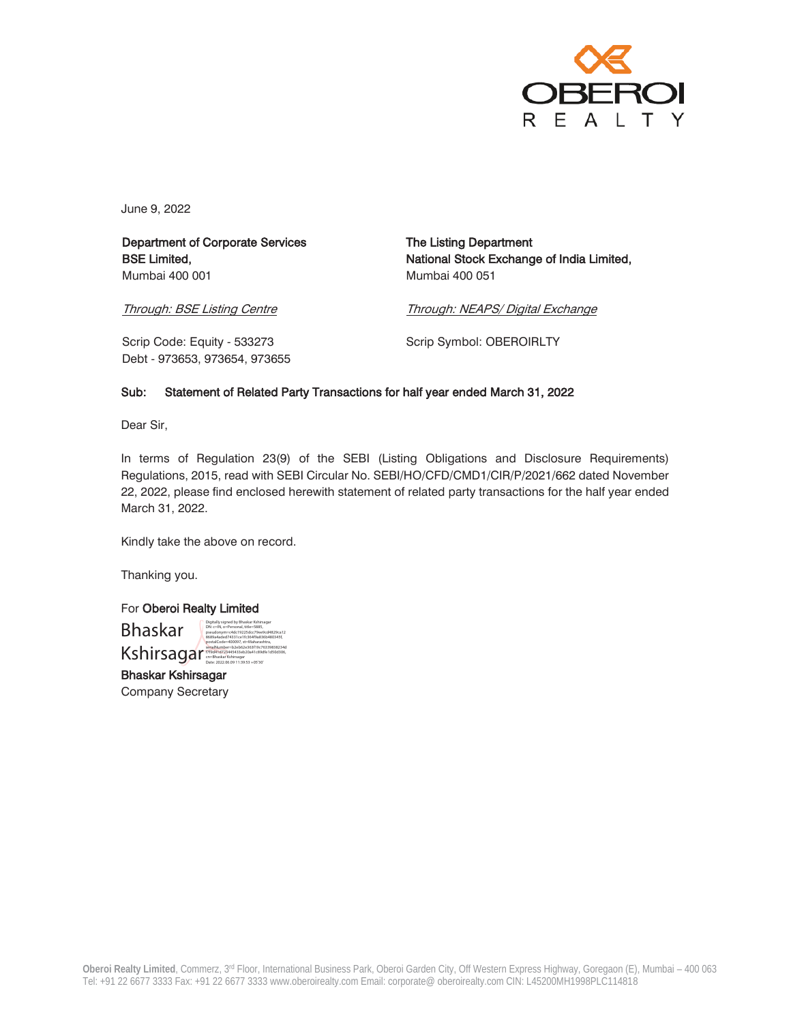

June 9, 2022

Department of Corporate Services BSE Limited, Mumbai 400 001

The Listing Department National Stock Exchange of India Limited, Mumbai 400 051

Through: BSE Listing Centre

Through: NEAPS/ Digital Exchange

Scrip Code: Equity - 533273 Debt - 973653, 973654, 973655 Scrip Symbol: OBEROIRLTY

## Sub: Statement of Related Party Transactions for half year ended March 31, 2022

Dear Sir,

In terms of Regulation 23(9) of the SEBI (Listing Obligations and Disclosure Requirements) Regulations, 2015, read with SEBI Circular No. SEBI/HO/CFD/CMD1/CIR/P/2021/662 dated November 22, 2022, please find enclosed herewith statement of related party transactions for the half year ended March 31, 2022.

Kindly take the above on record.

Digitally signed by Bhaskar Kshirsagar DN: c=IN, o=Personal, title=5885, pseudonym=c4dc19225dcc79ee9cd4829ca12 8689a4aded74331ce1fc364f9a836b480345f, deux.<br>!gar<br>: 2033 +05'31

Thanking you.

For Oberoi Realty Limited

 Bhaskar **Kshiratha, 1980**<br>Kshirisagar 1976-200097, stalko 20041c89dfe1d50d306, cn=Bhaskar Kshirsagar 2004<br>Date -202206.09 11:39:53 +05'30

Į

Bhaskar Kshirsagar Company Secretary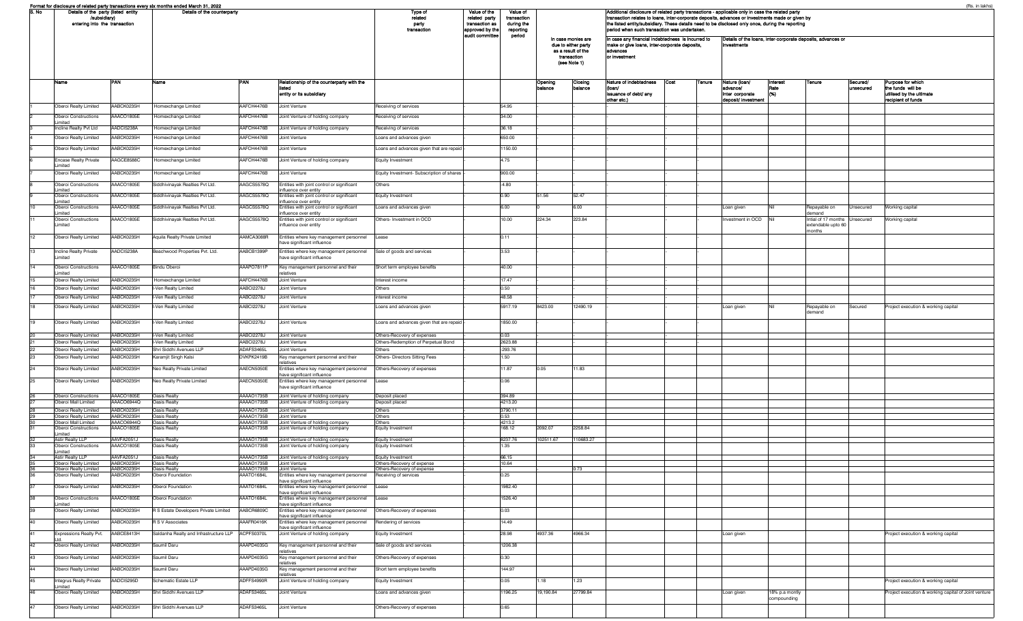|                       | Format for disclosure of related party transactions every six months ended March 31, 2022<br>Details of the party (listed entity<br>/subsidiary)<br>entering into the transaction |                          | Details of the counterparty                     |                          |                                                                                                                  | Type of<br>related                                       | Value of the<br>related party     | Value of<br>transaction                                                                        |           |                                                                                                                                                                                                                                                               | (Rs. in lakhs)<br>Additional disclosure of related party transactions - applicable only in case the related party<br>transaction relates to loans, inter-corporate deposits, advances or investments made or given by<br>the listed entity/subsidiary. These details need to be disclosed only once, during the reporting |      |        |                                                  |                               |                                                               |           |                                                                     |
|-----------------------|-----------------------------------------------------------------------------------------------------------------------------------------------------------------------------------|--------------------------|-------------------------------------------------|--------------------------|------------------------------------------------------------------------------------------------------------------|----------------------------------------------------------|-----------------------------------|------------------------------------------------------------------------------------------------|-----------|---------------------------------------------------------------------------------------------------------------------------------------------------------------------------------------------------------------------------------------------------------------|---------------------------------------------------------------------------------------------------------------------------------------------------------------------------------------------------------------------------------------------------------------------------------------------------------------------------|------|--------|--------------------------------------------------|-------------------------------|---------------------------------------------------------------|-----------|---------------------------------------------------------------------|
|                       |                                                                                                                                                                                   |                          |                                                 |                          | party<br>transaction                                                                                             | transaction as<br>approved by the<br>audit committee     | during the<br>reporting<br>period | In case monies are<br>due to either party<br>as a result of the<br>transaction<br>(see Note 1) |           | period when such transaction was undertaken.<br>In case any financial indebtedness is incurred to<br>Details of the loans, inter-corporate deposits, advances or<br>make or give loans, inter-corporate deposits,<br>investments<br>advances<br>or investment |                                                                                                                                                                                                                                                                                                                           |      |        |                                                  |                               |                                                               |           |                                                                     |
|                       | Name                                                                                                                                                                              | PAN                      | Name                                            | PAN                      | lelationship of the counterparty with the                                                                        |                                                          |                                   |                                                                                                | Opening   | Closing                                                                                                                                                                                                                                                       | Nature of indebtedness                                                                                                                                                                                                                                                                                                    | Cost | Tenure | Nature (Ioan/                                    | Interest                      | Tenure                                                        | Secured/  | Purpose for which                                                   |
|                       |                                                                                                                                                                                   |                          |                                                 |                          | entity or its subsidiary                                                                                         |                                                          |                                   |                                                                                                | balancı   | balance                                                                                                                                                                                                                                                       | issuance of debt/ any<br>other etc.)                                                                                                                                                                                                                                                                                      |      |        | dvance/<br>inter corporate<br>deposit/ investmen | 1695)                         |                                                               | unsecured | the funds will be<br>utilised by the ultimate<br>recipient of funds |
|                       | Oberoi Realty Limited                                                                                                                                                             | AABCK0235H               | Homexchange Limited                             | AAFCH4476B               | Joint Venture                                                                                                    | Receiving of services                                    |                                   | 54.95                                                                                          |           |                                                                                                                                                                                                                                                               |                                                                                                                                                                                                                                                                                                                           |      |        |                                                  |                               |                                                               |           |                                                                     |
|                       | Oberoi Constructions<br>imited                                                                                                                                                    | <b>AACO1805E</b>         | Homexchange Limited                             | AAFCH4476B               | Joint Venture of holding company                                                                                 | Receiving of services                                    |                                   | 34.00                                                                                          |           |                                                                                                                                                                                                                                                               |                                                                                                                                                                                                                                                                                                                           |      |        |                                                  |                               |                                                               |           |                                                                     |
|                       | Incline Realty Pvt Ltd                                                                                                                                                            | AADCI5238A               | Homexchange Limited                             | AAFCH4476B               | Joint Venture of holding company                                                                                 | Receiving of services                                    |                                   | 36.18                                                                                          |           |                                                                                                                                                                                                                                                               |                                                                                                                                                                                                                                                                                                                           |      |        |                                                  |                               |                                                               |           |                                                                     |
|                       | Oberoi Realty Limited                                                                                                                                                             | ABCK0235H                | Homexchange Limited                             | AAFCH4476B               | Joint Venture                                                                                                    | Loans and advances given                                 |                                   | 650.00                                                                                         |           |                                                                                                                                                                                                                                                               |                                                                                                                                                                                                                                                                                                                           |      |        |                                                  |                               |                                                               |           |                                                                     |
|                       | Oberoi Realty Limited                                                                                                                                                             | AABCK0235H               | Homexchange Limited                             | AAFCH4476B               | Joint Venture                                                                                                    | Loans and advances given that are repaid                 |                                   | 1150.00                                                                                        |           |                                                                                                                                                                                                                                                               |                                                                                                                                                                                                                                                                                                                           |      |        |                                                  |                               |                                                               |           |                                                                     |
|                       | <b>Encase Realty Private</b><br>Limited                                                                                                                                           | AAGCE8588C               | Homexchange Limited                             | AAFCH4476B               | Joint Venture of holding company                                                                                 | Equity Investment                                        |                                   | 4.75                                                                                           |           |                                                                                                                                                                                                                                                               |                                                                                                                                                                                                                                                                                                                           |      |        |                                                  |                               |                                                               |           |                                                                     |
|                       | Oberoi Realty Limited                                                                                                                                                             | AABCK0235H               | Homexchange Limited                             | AAFCH4476B               | Joint Venture                                                                                                    | Equity Investment- Subscription of shares                |                                   | 900.00                                                                                         |           |                                                                                                                                                                                                                                                               |                                                                                                                                                                                                                                                                                                                           |      |        |                                                  |                               |                                                               |           |                                                                     |
|                       | <b>Oberoi Constructions</b>                                                                                                                                                       | AAACO1805E               | Siddhivinayak Realties Pvt Ltd.                 | AAGCS5578Q               | Entities with joint control or significant                                                                       | Others                                                   |                                   | $-4.80$                                                                                        |           |                                                                                                                                                                                                                                                               |                                                                                                                                                                                                                                                                                                                           |      |        |                                                  |                               |                                                               |           |                                                                     |
|                       | Limited<br>Oberoi Constructions                                                                                                                                                   | AAACO1805E               | Siddhivinayak Realties Pvt Ltd.                 | AAGCS5578Q               | ifluence over entity<br>Entities with joint control or significant                                               | Equity Investment                                        |                                   | 0.90                                                                                           | 51.56     | 52.47                                                                                                                                                                                                                                                         |                                                                                                                                                                                                                                                                                                                           |      |        |                                                  |                               |                                                               |           |                                                                     |
|                       | imited<br>Oberoi Constructions                                                                                                                                                    | AAACO1805E               | Siddhivinayak Realties Pvt Ltd.                 | AAGCS5578Q               | nfluence over entity<br>Entities with joint control or significant                                               | Loans and advances given                                 |                                   | 6.00                                                                                           |           | 6.00                                                                                                                                                                                                                                                          |                                                                                                                                                                                                                                                                                                                           |      |        | Loan given                                       |                               | Repayable on                                                  | Unsecured | Working capital                                                     |
|                       | imited<br>Oberoi Constructions<br><i>imited</i>                                                                                                                                   | AAACO1805E               | Siddhivinayak Realties Pvt Ltd.                 | AAGCS5578Q               | ifluence over entity<br>Entities with joint control or significant<br>nfluence over entity                       | Others- Investment in OCD                                |                                   | 10.00                                                                                          | 224.34    | 223.84                                                                                                                                                                                                                                                        |                                                                                                                                                                                                                                                                                                                           |      |        | nvestment in OCD                                 |                               | demand<br>Intial of 17 months Unsecured<br>extendable upto 60 |           | Working capital                                                     |
|                       | Oberoi Realty Limited                                                                                                                                                             | AABCK0235H               | Aquila Realty Private Limited                   | AAMCA3088R               | Entities where key management personnel<br>ave significant influence                                             | <b>ILease</b>                                            |                                   | 0.11                                                                                           |           |                                                                                                                                                                                                                                                               |                                                                                                                                                                                                                                                                                                                           |      |        |                                                  |                               | months                                                        |           |                                                                     |
| 13                    | <b>Incline Realty Private</b>                                                                                                                                                     | AADCI5238A               | Beachwood Properties Pvt. Ltd.                  | AABCB1399P               | Entities where key management personnel                                                                          | Sale of goods and services                               |                                   | 3.53                                                                                           |           |                                                                                                                                                                                                                                                               |                                                                                                                                                                                                                                                                                                                           |      |        |                                                  |                               |                                                               |           |                                                                     |
|                       | Limited                                                                                                                                                                           |                          |                                                 |                          | have significant influence                                                                                       |                                                          |                                   |                                                                                                |           |                                                                                                                                                                                                                                                               |                                                                                                                                                                                                                                                                                                                           |      |        |                                                  |                               |                                                               |           |                                                                     |
|                       | Oberoi Constructions<br>_imited                                                                                                                                                   | AAACO1805E               | Bindu Oberoi                                    | AAAPO7811P               | Key management personnel and their<br>elatives                                                                   | Short term employee benefits                             |                                   | 40.00                                                                                          |           |                                                                                                                                                                                                                                                               |                                                                                                                                                                                                                                                                                                                           |      |        |                                                  |                               |                                                               |           |                                                                     |
|                       | Oberoi Realty Limited                                                                                                                                                             | AABCK0235H               | Homexchange Limited                             | AAFCH4476B               | Joint Venture                                                                                                    | Interest income                                          |                                   | 17.47                                                                                          |           |                                                                                                                                                                                                                                                               |                                                                                                                                                                                                                                                                                                                           |      |        |                                                  |                               |                                                               |           |                                                                     |
|                       | Oberoi Realty Limited<br>Oberoi Realty Limited                                                                                                                                    | AABCK0235H<br>ABCK0235H  | I-Ven Realty Limited<br>-Ven Realty Limited     | AABCI2278J<br>AABCI2278J | Joint Venture<br>Joint Venture                                                                                   | Others<br>interest income                                |                                   | 0.50<br>48.58                                                                                  |           |                                                                                                                                                                                                                                                               |                                                                                                                                                                                                                                                                                                                           |      |        |                                                  |                               |                                                               |           |                                                                     |
| 18                    | Oberoi Realty Limited                                                                                                                                                             | AABCK0235H               | I-Ven Realty Limited                            | AABCI2278J               | Joint Venture                                                                                                    | Loans and advances given                                 |                                   | 5917.19                                                                                        | 8423.00   | 12490.19                                                                                                                                                                                                                                                      |                                                                                                                                                                                                                                                                                                                           |      |        | Loan given                                       |                               | Repayable on                                                  | Secured   | Project execution & working capital                                 |
|                       |                                                                                                                                                                                   |                          |                                                 |                          |                                                                                                                  |                                                          |                                   |                                                                                                |           |                                                                                                                                                                                                                                                               |                                                                                                                                                                                                                                                                                                                           |      |        |                                                  |                               | demand                                                        |           |                                                                     |
| 19                    | Oberoi Realty Limited                                                                                                                                                             | AABCK0235H               | I-Ven Realty Limited                            | AABCI2278J               | Joint Venture                                                                                                    | Loans and advances given that are repaid -               |                                   | 1850.00                                                                                        |           |                                                                                                                                                                                                                                                               |                                                                                                                                                                                                                                                                                                                           |      |        |                                                  |                               |                                                               |           |                                                                     |
|                       | Oberoi Realty Limited                                                                                                                                                             | AABCK0235H               | I-Ven Realty Limited                            | AABCI2278J               | Joint Venture                                                                                                    | Others-Recovery of expenses                              |                                   | 0.03                                                                                           |           |                                                                                                                                                                                                                                                               |                                                                                                                                                                                                                                                                                                                           |      |        |                                                  |                               |                                                               |           |                                                                     |
| 22                    | Oberoi Realty Limited<br>Oberoi Realty Limited                                                                                                                                    | AABCK0235H<br>AABCK0235H | I-Ven Realty Limited<br>Shri Siddhi Avenues LLP | AABCI2278J<br>ADAFS3465L | Joint Venture<br>Joint Venture                                                                                   | Others-Redemption of Perpetual Bond<br>Others            |                                   | 2623.88<br>$-293.76$                                                                           |           |                                                                                                                                                                                                                                                               |                                                                                                                                                                                                                                                                                                                           |      |        |                                                  |                               |                                                               |           |                                                                     |
|                       | Oberoi Realty Limited                                                                                                                                                             | AABCK0235H               | Karamjit Singh Kalsi                            | DVKPK2419B               | Key management personnel and their                                                                               | Others- Directors Sitting Fees                           |                                   | 1.50                                                                                           |           |                                                                                                                                                                                                                                                               |                                                                                                                                                                                                                                                                                                                           |      |        |                                                  |                               |                                                               |           |                                                                     |
|                       | Oberoi Realty Limited                                                                                                                                                             | AABCK0235H               | Neo Realty Private Limited                      | AAECN5050E               | elatives<br>Entities where key management personnel                                                              | Others-Recovery of expenses                              |                                   | 11.87                                                                                          | 0.05      | 11.83                                                                                                                                                                                                                                                         |                                                                                                                                                                                                                                                                                                                           |      |        |                                                  |                               |                                                               |           |                                                                     |
| 25                    | Oberoi Realty Limited                                                                                                                                                             | AABCK0235H               | Neo Realty Private Limited                      | AAECN5050E               | have significant influence<br>Entities where key management personnel<br>have significant influence              | Lease                                                    |                                   | 0.06                                                                                           |           |                                                                                                                                                                                                                                                               |                                                                                                                                                                                                                                                                                                                           |      |        |                                                  |                               |                                                               |           |                                                                     |
|                       | Oberoi Constructions                                                                                                                                                              | AAACO1805E               | Oasis Realty                                    | AAAAO1735B               | Joint Venture of holding company                                                                                 | Deposit placed                                           |                                   | 394 89                                                                                         |           |                                                                                                                                                                                                                                                               |                                                                                                                                                                                                                                                                                                                           |      |        |                                                  |                               |                                                               |           |                                                                     |
|                       | Oberoi Mall Limited                                                                                                                                                               | AAACO6944Q               | Oasis Realty                                    | AAAAO1735B               | Joint Venture of holding company                                                                                 | Deposit placed                                           |                                   | 4213.20                                                                                        |           |                                                                                                                                                                                                                                                               |                                                                                                                                                                                                                                                                                                                           |      |        |                                                  |                               |                                                               |           |                                                                     |
|                       | Oberoi Realty Limited<br>Oberoi Realty Limited                                                                                                                                    | AABCK0235H<br>AABCK0235H | <b>Dasis Realty</b><br><b>Oasis Realty</b>      | AAAAO1735B<br>AAAAO1735B | Joint Venture<br>Joint Venture                                                                                   | Others<br>Others                                         |                                   | 3790.11<br>0.53                                                                                |           |                                                                                                                                                                                                                                                               |                                                                                                                                                                                                                                                                                                                           |      |        |                                                  |                               |                                                               |           |                                                                     |
|                       | Oberoi Mall Limited<br>Oberoi Constructions                                                                                                                                       | AAACO6944Q<br>AAACO1805E | <b>Oasis Realty</b><br>Oasis Realty             | AAAAO1735B<br>AAAAO1735B | Joint Venture of holding company<br>Joint Venture of holding company                                             | Others<br><b>Equity Investment</b>                       |                                   | 4213.2<br>168.12                                                                               | 2092.07   | 2258.84                                                                                                                                                                                                                                                       |                                                                                                                                                                                                                                                                                                                           |      |        |                                                  |                               |                                                               |           |                                                                     |
|                       | mited<br>Astir Realty LLP                                                                                                                                                         | AAVFA2051J               | Oasis Realty                                    | AAAAO1735B               | Joint Venture of holding company                                                                                 | <b>Equity Investment</b>                                 |                                   | 8237.76                                                                                        | 102511.67 | 10683.27                                                                                                                                                                                                                                                      |                                                                                                                                                                                                                                                                                                                           |      |        |                                                  |                               |                                                               |           |                                                                     |
|                       | Oberoi Constructions                                                                                                                                                              | AAACO1805E               | <b>Oasis Realty</b>                             | AAAAO1735B               | Joint Venture of holding company                                                                                 | <b>Equity Investment</b>                                 |                                   | 1.35                                                                                           |           |                                                                                                                                                                                                                                                               |                                                                                                                                                                                                                                                                                                                           |      |        |                                                  |                               |                                                               |           |                                                                     |
|                       | Limited<br>Astir Realty LLP                                                                                                                                                       | AAVFA2051J               | Oasis Realty                                    |                          | AAAAO1735B Joint Venture of holding company                                                                      | Equity Investment                                        |                                   | 66.15                                                                                          |           |                                                                                                                                                                                                                                                               |                                                                                                                                                                                                                                                                                                                           |      |        |                                                  |                               |                                                               |           |                                                                     |
| 35                    | Oberoi Realty Limited<br>Oberoi Realty Limited                                                                                                                                    | AABCK0235H<br>AABCK0235H | <b>Oasis Realty</b><br>Oasis Realty             | AAAAO1735B               | AAAAO1735B Joint Venture<br>Joint Venture                                                                        | Others-Recovery of expense<br>Others-Recovery of expense |                                   | 10.64                                                                                          |           | 0.73                                                                                                                                                                                                                                                          |                                                                                                                                                                                                                                                                                                                           |      |        |                                                  |                               |                                                               |           |                                                                     |
| $\frac{36}{36}$<br>37 | Oberoi Realty Limited<br>Oberoi Realty Limited                                                                                                                                    | AABCK0235H<br>AABCK0235H | Oberoi Foundation<br>Oberoi Foundation          | AAATO1684L<br>AAATO1684L | Entities where key management personnel<br>have significant influence<br>Entities where key management personnel | Receiving of services<br>Lease                           |                                   | 0.25<br>1982.40                                                                                |           |                                                                                                                                                                                                                                                               |                                                                                                                                                                                                                                                                                                                           |      |        |                                                  |                               |                                                               |           |                                                                     |
|                       |                                                                                                                                                                                   |                          |                                                 |                          | ave significant influence                                                                                        |                                                          |                                   |                                                                                                |           |                                                                                                                                                                                                                                                               |                                                                                                                                                                                                                                                                                                                           |      |        |                                                  |                               |                                                               |           |                                                                     |
| 38                    | Oberoi Constructions<br>_imited                                                                                                                                                   | AAACO1805E               | Oberoi Foundation                               | AAATO1684L               | Entities where key management personnel<br>have significant influence                                            | Lease                                                    |                                   | 1526.40                                                                                        |           |                                                                                                                                                                                                                                                               |                                                                                                                                                                                                                                                                                                                           |      |        |                                                  |                               |                                                               |           |                                                                     |
| 39                    | Oberoi Realty Limited                                                                                                                                                             | AABCK0235H               | R S Estate Developers Private Limited           | AABCR6809C               | Entities where key management personnel<br>have significant influence                                            | Others-Recovery of expenses                              |                                   | 0.03                                                                                           |           |                                                                                                                                                                                                                                                               |                                                                                                                                                                                                                                                                                                                           |      |        |                                                  |                               |                                                               |           |                                                                     |
| 40                    | Oberoi Realty Limited                                                                                                                                                             | AABCK0235H               | <b>R S V Associates</b>                         | AAAFR0416K               | Entities where key management personnel<br>have significant influence                                            | Rendering of services                                    |                                   | 14.49                                                                                          |           |                                                                                                                                                                                                                                                               |                                                                                                                                                                                                                                                                                                                           |      |        |                                                  |                               |                                                               |           |                                                                     |
| 41                    | Expressions Realty Pvt.                                                                                                                                                           | AABCE8413H               | Saldanha Realty and Infrastructure LLP          | ACPFS0370L               | Joint Venture of holding company                                                                                 | Equity Investment                                        |                                   | 28.98                                                                                          | 4937.36   | 4966.34                                                                                                                                                                                                                                                       |                                                                                                                                                                                                                                                                                                                           |      |        | Loan given                                       |                               |                                                               |           | Project execution & working capital                                 |
| 42                    | Oberoi Realty Limited                                                                                                                                                             | AABCK0235H               | Saumil Daru                                     | AAAPD4035G               | Key management personnel and their                                                                               | Sale of goods and services                               |                                   | 1206.38                                                                                        |           |                                                                                                                                                                                                                                                               |                                                                                                                                                                                                                                                                                                                           |      |        |                                                  |                               |                                                               |           |                                                                     |
| 43                    | Oberoi Realty Limited                                                                                                                                                             | AABCK0235H               | Saumil Daru                                     | AAAPD4035G               | elatives<br>Key management personnel and their<br>elatives                                                       | Others-Recovery of expenses                              |                                   | 0.30                                                                                           |           |                                                                                                                                                                                                                                                               |                                                                                                                                                                                                                                                                                                                           |      |        |                                                  |                               |                                                               |           |                                                                     |
| 44                    | Oberoi Realty Limited                                                                                                                                                             | AABCK0235H               | Saumil Daru                                     | AAAPD4035G               | Key management personnel and their<br>elatives                                                                   | Short term employee benefits                             |                                   | 144.97                                                                                         |           |                                                                                                                                                                                                                                                               |                                                                                                                                                                                                                                                                                                                           |      |        |                                                  |                               |                                                               |           |                                                                     |
| 45                    | Integrus Realty Private<br><i>imited</i>                                                                                                                                          | AADCI5295D               | Schematic Estate LLP                            | ADFFS4990R               | Joint Venture of holding company                                                                                 | Equity Investment                                        |                                   | 0.05                                                                                           | 1.18      | 1.23                                                                                                                                                                                                                                                          |                                                                                                                                                                                                                                                                                                                           |      |        |                                                  |                               |                                                               |           | Project execution & working capital                                 |
| 46                    | Oberoi Realty Limited                                                                                                                                                             | AABCK0235H               | Shri Siddhi Avenues LLP                         | ADAFS3465L               | Joint Venture                                                                                                    | Loans and advances given                                 |                                   | 1196.25                                                                                        | 19,190.84 | 27799.84                                                                                                                                                                                                                                                      |                                                                                                                                                                                                                                                                                                                           |      |        | Loan given                                       | 18% p.a montly<br>compounding |                                                               |           | Project execution & working capital of Joint venture                |
|                       | Oberoi Realty Limited                                                                                                                                                             | AABCK0235H               | Shri Siddhi Avenues LLP                         | ADAFS3465L               | Joint Venture                                                                                                    | Others-Recovery of expenses                              |                                   | 0.65                                                                                           |           |                                                                                                                                                                                                                                                               |                                                                                                                                                                                                                                                                                                                           |      |        |                                                  |                               |                                                               |           |                                                                     |